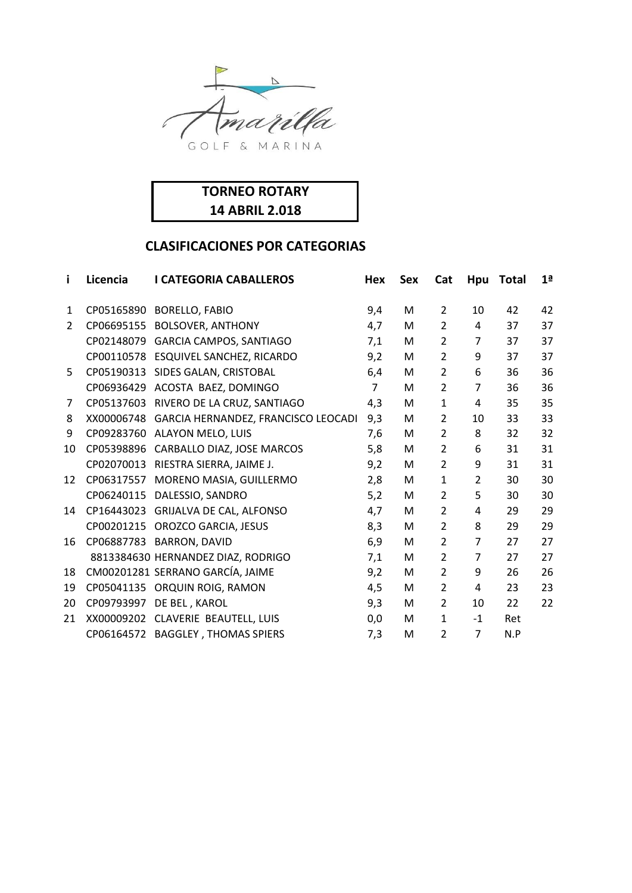



| i.             | Licencia | <b>I CATEGORIA CABALLEROS</b>                  | Hex            | <b>Sex</b> | Cat            | Hpu            | <b>Total</b> | 1 <sup>a</sup> |
|----------------|----------|------------------------------------------------|----------------|------------|----------------|----------------|--------------|----------------|
| $\mathbf{1}$   |          | CP05165890 BORELLO, FABIO                      | 9,4            | M          | $\overline{2}$ | 10             | 42           | 42             |
| $\overline{2}$ |          | CP06695155 BOLSOVER, ANTHONY                   | 4,7            | M          | $\overline{2}$ | $\overline{4}$ | 37           | 37             |
|                |          | CP02148079 GARCIA CAMPOS, SANTIAGO             | 7,1            | M          | $\overline{2}$ | $\overline{7}$ | 37           | 37             |
|                |          | CP00110578 ESQUIVEL SANCHEZ, RICARDO           | 9,2            | M          | $\overline{2}$ | 9              | 37           | 37             |
| 5              |          | CP05190313 SIDES GALAN, CRISTOBAL              | 6,4            | M          | $\overline{2}$ | 6              | 36           | 36             |
|                |          | CP06936429 ACOSTA BAEZ, DOMINGO                | $\overline{7}$ | M          | $\overline{2}$ | $\overline{7}$ | 36           | 36             |
| 7              |          | CP05137603 RIVERO DE LA CRUZ, SANTIAGO         | 4,3            | M          | $\mathbf{1}$   | 4              | 35           | 35             |
| 8              |          | XX00006748 GARCIA HERNANDEZ, FRANCISCO LEOCADI | 9,3            | M          | 2              | 10             | 33           | 33             |
| 9              |          | CP09283760 ALAYON MELO, LUIS                   | 7,6            | M          | $\overline{2}$ | 8              | 32           | 32             |
| 10             |          | CP05398896 CARBALLO DIAZ, JOSE MARCOS          | 5,8            | M          | $\overline{2}$ | 6              | 31           | 31             |
|                |          | CP02070013 RIESTRA SIERRA, JAIME J.            | 9,2            | M          | $\overline{2}$ | 9              | 31           | 31             |
| 12             |          | CP06317557 MORENO MASIA, GUILLERMO             | 2,8            | M          | $\mathbf{1}$   | $\overline{2}$ | 30           | 30             |
|                |          | CP06240115 DALESSIO, SANDRO                    | 5,2            | M          | $\overline{2}$ | 5              | 30           | 30             |
| 14             |          | CP16443023 GRIJALVA DE CAL, ALFONSO            | 4,7            | M          | $\overline{2}$ | 4              | 29           | 29             |
|                |          | CP00201215 OROZCO GARCIA, JESUS                | 8,3            | M          | $\overline{2}$ | 8              | 29           | 29             |
| 16             |          | CP06887783 BARRON, DAVID                       | 6,9            | M          | $\overline{2}$ | $\overline{7}$ | 27           | 27             |
|                |          | 8813384630 HERNANDEZ DIAZ, RODRIGO             | 7,1            | M          | 2              | $\overline{7}$ | 27           | 27             |
| 18             |          | CM00201281 SERRANO GARCÍA, JAIME               | 9,2            | M          | $\overline{2}$ | 9              | 26           | 26             |
| 19             |          | CP05041135 ORQUIN ROIG, RAMON                  | 4,5            | M          | $\overline{2}$ | 4              | 23           | 23             |
| 20             |          | CP09793997 DE BEL, KAROL                       | 9,3            | M          | $\overline{2}$ | 10             | 22           | 22             |
| 21             |          | XX00009202 CLAVERIE BEAUTELL, LUIS             | 0,0            | M          | $\mathbf{1}$   | $-1$           | Ret          |                |
|                |          | CP06164572 BAGGLEY, THOMAS SPIERS              | 7,3            | M          | 2              | $\overline{7}$ | N.P          |                |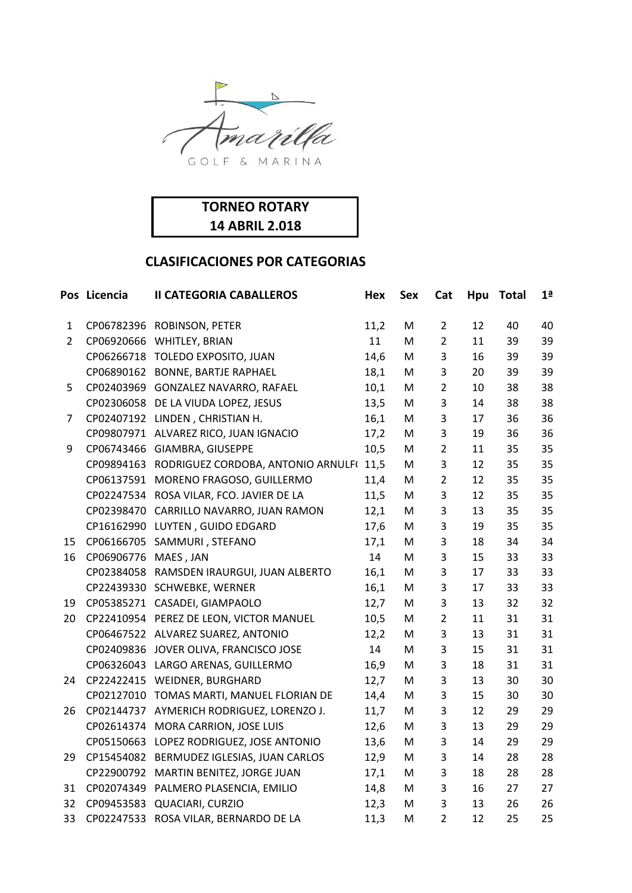

| <b>TORNEO ROTARY</b>  |  |
|-----------------------|--|
| <b>14 ABRIL 2.018</b> |  |

|                | Pos Licencia | <b>II CATEGORIA CABALLEROS</b>                | Hex  | <b>Sex</b> | Cat            | Hpu | <b>Total</b> | 1 <sup>a</sup> |
|----------------|--------------|-----------------------------------------------|------|------------|----------------|-----|--------------|----------------|
| 1              |              | CP06782396 ROBINSON, PETER                    | 11,2 | M          | $\overline{2}$ | 12  | 40           | 40             |
| $\overline{2}$ |              | CP06920666 WHITLEY, BRIAN                     | 11   | M          | $\overline{2}$ | 11  | 39           | 39             |
|                |              | CP06266718 TOLEDO EXPOSITO, JUAN              | 14,6 | M          | 3              | 16  | 39           | 39             |
|                |              | CP06890162 BONNE, BARTJE RAPHAEL              | 18,1 | M          | 3              | 20  | 39           | 39             |
| 5              |              | CP02403969 GONZALEZ NAVARRO, RAFAEL           | 10,1 | M          | $\overline{2}$ | 10  | 38           | 38             |
|                |              | CP02306058 DE LA VIUDA LOPEZ, JESUS           | 13,5 | M          | 3              | 14  | 38           | 38             |
| 7              |              | CP02407192 LINDEN, CHRISTIAN H.               | 16,1 | M          | 3              | 17  | 36           | 36             |
|                |              | CP09807971 ALVAREZ RICO, JUAN IGNACIO         | 17,2 | M          | 3              | 19  | 36           | 36             |
| 9              |              | CP06743466 GIAMBRA, GIUSEPPE                  | 10,5 | M          | $\overline{2}$ | 11  | 35           | 35             |
|                |              | CP09894163 RODRIGUEZ CORDOBA, ANTONIO ARNULFI | 11,5 | M          | 3              | 12  | 35           | 35             |
|                |              | CP06137591 MORENO FRAGOSO, GUILLERMO          | 11,4 | M          | $\overline{2}$ | 12  | 35           | 35             |
|                |              | CP02247534 ROSA VILAR, FCO. JAVIER DE LA      | 11,5 | M          | 3              | 12  | 35           | 35             |
|                |              | CP02398470 CARRILLO NAVARRO, JUAN RAMON       | 12,1 | M          | 3              | 13  | 35           | 35             |
|                |              | CP16162990 LUYTEN, GUIDO EDGARD               | 17,6 | M          | 3              | 19  | 35           | 35             |
| 15             |              | CP06166705 SAMMURI, STEFANO                   | 17,1 | M          | 3              | 18  | 34           | 34             |
| 16             | CP06906776   | MAES, JAN                                     | 14   | M          | 3              | 15  | 33           | 33             |
|                |              | CP02384058 RAMSDEN IRAURGUI, JUAN ALBERTO     | 16,1 | M          | 3              | 17  | 33           | 33             |
|                |              | CP22439330 SCHWEBKE, WERNER                   | 16,1 | M          | 3              | 17  | 33           | 33             |
| 19             |              | CP05385271 CASADEI, GIAMPAOLO                 | 12,7 | M          | 3              | 13  | 32           | 32             |
| 20             |              | CP22410954 PEREZ DE LEON, VICTOR MANUEL       | 10,5 | M          | $\overline{2}$ | 11  | 31           | 31             |
|                |              | CP06467522 ALVAREZ SUAREZ, ANTONIO            | 12,2 | M          | 3              | 13  | 31           | 31             |
|                |              | CP02409836 JOVER OLIVA, FRANCISCO JOSE        | 14   | M          | 3              | 15  | 31           | 31             |
|                |              | CP06326043 LARGO ARENAS, GUILLERMO            | 16,9 | M          | 3              | 18  | 31           | 31             |
| 24             |              | CP22422415 WEIDNER, BURGHARD                  | 12,7 | M          | 3              | 13  | 30           | 30             |
|                |              | CP02127010 TOMAS MARTI, MANUEL FLORIAN DE     | 14,4 | M          | 3              | 15  | 30           | 30             |
| 26             |              | CP02144737 AYMERICH RODRIGUEZ, LORENZO J.     | 11,7 | M          | 3              | 12  | 29           | 29             |
|                |              | CP02614374 MORA CARRION, JOSE LUIS            | 12,6 | M          | 3              | 13  | 29           | 29             |
|                |              | CP05150663 LOPEZ RODRIGUEZ, JOSE ANTONIO      | 13,6 | M          | 3              | 14  | 29           | 29             |
| 29             |              | CP15454082 BERMUDEZ IGLESIAS, JUAN CARLOS     | 12,9 | M          | 3              | 14  | 28           | 28             |
|                |              | CP22900792 MARTIN BENITEZ, JORGE JUAN         | 17,1 | M          | 3              | 18  | 28           | 28             |
| 31             | CP02074349   | PALMERO PLASENCIA, EMILIO                     | 14,8 | M          | 3              | 16  | 27           | 27             |
| 32             | CP09453583   | QUACIARI, CURZIO                              | 12,3 | M          | 3              | 13  | 26           | 26             |
| 33             |              | CP02247533 ROSA VILAR, BERNARDO DE LA         | 11,3 | M          | $\overline{2}$ | 12  | 25           | 25             |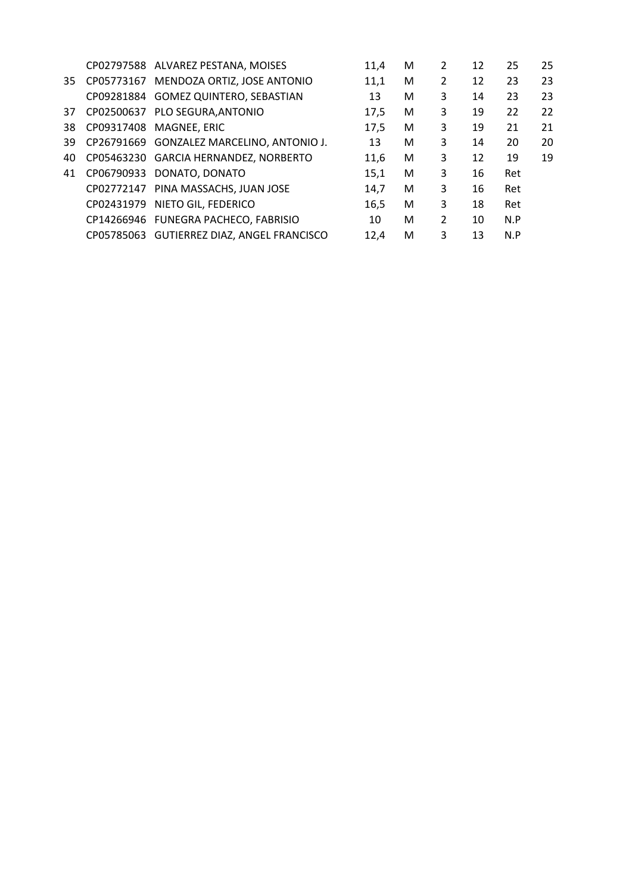|    |            | CP02797588 ALVAREZ PESTANA, MOISES         | 11.4 | М | 2              | 12 | 25  | 25 |
|----|------------|--------------------------------------------|------|---|----------------|----|-----|----|
| 35 |            | CP05773167 MENDOZA ORTIZ, JOSE ANTONIO     | 11,1 | М | $\overline{2}$ | 12 | 23  | 23 |
|    |            | CP09281884 GOMEZ QUINTERO, SEBASTIAN       | 13   | М | 3              | 14 | 23  | 23 |
| 37 |            | CP02500637 PLO SEGURA, ANTONIO             | 17.5 | M | 3              | 19 | 22  | 22 |
| 38 |            | CP09317408 MAGNEE, ERIC                    | 17,5 | M | 3              | 19 | 21  | 21 |
| 39 |            | CP26791669 GONZALEZ MARCELINO, ANTONIO J.  | 13   | м | 3              | 14 | 20  | 20 |
| 40 |            | CP05463230 GARCIA HERNANDEZ, NORBERTO      | 11.6 | М | 3              | 12 | 19  | 19 |
| 41 |            | CP06790933 DONATO, DONATO                  | 15,1 | M | 3              | 16 | Ret |    |
|    |            | CP02772147 PINA MASSACHS, JUAN JOSE        | 14,7 | M | 3              | 16 | Ret |    |
|    | CP02431979 | NIETO GIL, FEDERICO                        | 16,5 | M | 3              | 18 | Ret |    |
|    |            | CP14266946 FUNEGRA PACHECO, FABRISIO       | 10   | м | $\overline{2}$ | 10 | N.P |    |
|    |            | CP05785063 GUTIERREZ DIAZ, ANGEL FRANCISCO | 12.4 | м | 3              | 13 | N.P |    |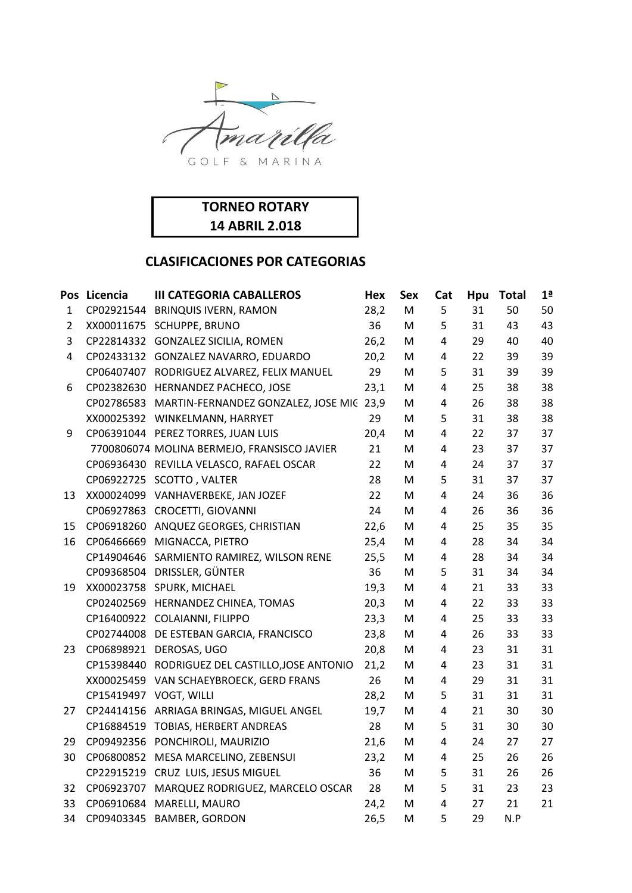

| <b>TORNEO ROTARY</b>  |  |
|-----------------------|--|
| <b>14 ABRIL 2.018</b> |  |

|                | Pos Licencia | <b>III CATEGORIA CABALLEROS</b>                     | Hex  | <b>Sex</b> | Cat            | Hpu | <b>Total</b> | 1 <sup>a</sup> |
|----------------|--------------|-----------------------------------------------------|------|------------|----------------|-----|--------------|----------------|
| $\mathbf{1}$   |              | CP02921544 BRINQUIS IVERN, RAMON                    | 28,2 | M          | 5              | 31  | 50           | 50             |
| $\overline{2}$ | XX00011675   | <b>SCHUPPE, BRUNO</b>                               | 36   | M          | 5              | 31  | 43           | 43             |
| 3              |              | CP22814332 GONZALEZ SICILIA, ROMEN                  | 26,2 | M          | 4              | 29  | 40           | 40             |
| $\overline{4}$ |              | CP02433132 GONZALEZ NAVARRO, EDUARDO                | 20,2 | M          | 4              | 22  | 39           | 39             |
|                |              | CP06407407 RODRIGUEZ ALVAREZ, FELIX MANUEL          | 29   | M          | 5              | 31  | 39           | 39             |
| 6              |              | CP02382630 HERNANDEZ PACHECO, JOSE                  | 23,1 | M          | $\overline{4}$ | 25  | 38           | 38             |
|                |              | CP02786583 MARTIN-FERNANDEZ GONZALEZ, JOSE MIC 23,9 |      | M          | 4              | 26  | 38           | 38             |
|                |              | XX00025392 WINKELMANN, HARRYET                      | 29   | M          | 5              | 31  | 38           | 38             |
| 9              |              | CP06391044 PEREZ TORRES, JUAN LUIS                  | 20,4 | м          | $\overline{4}$ | 22  | 37           | 37             |
|                |              | 7700806074 MOLINA BERMEJO, FRANSISCO JAVIER         | 21   | M          | 4              | 23  | 37           | 37             |
|                |              | CP06936430 REVILLA VELASCO, RAFAEL OSCAR            | 22   | M          | 4              | 24  | 37           | 37             |
|                | CP06922725   | SCOTTO, VALTER                                      | 28   | M          | 5              | 31  | 37           | 37             |
| 13             |              | XX00024099 VANHAVERBEKE, JAN JOZEF                  | 22   | M          | 4              | 24  | 36           | 36             |
|                |              | CP06927863 CROCETTI, GIOVANNI                       | 24   | M          | $\overline{4}$ | 26  | 36           | 36             |
| 15             |              | CP06918260 ANQUEZ GEORGES, CHRISTIAN                | 22,6 | M          | 4              | 25  | 35           | 35             |
| 16             | CP06466669   | MIGNACCA, PIETRO                                    | 25,4 | M          | 4              | 28  | 34           | 34             |
|                | CP14904646   | SARMIENTO RAMIREZ, WILSON RENE                      | 25,5 | M          | 4              | 28  | 34           | 34             |
|                | CP09368504   | DRISSLER, GÜNTER                                    | 36   | M          | 5              | 31  | 34           | 34             |
| 19             |              | XX00023758 SPURK, MICHAEL                           | 19,3 | М          | 4              | 21  | 33           | 33             |
|                |              | CP02402569 HERNANDEZ CHINEA, TOMAS                  | 20,3 | M          | $\overline{4}$ | 22  | 33           | 33             |
|                |              | CP16400922 COLAIANNI, FILIPPO                       | 23,3 | M          | 4              | 25  | 33           | 33             |
|                |              | CP02744008 DE ESTEBAN GARCIA, FRANCISCO             | 23,8 | M          | 4              | 26  | 33           | 33             |
| 23             |              | CP06898921 DEROSAS, UGO                             | 20,8 | M          | 4              | 23  | 31           | 31             |
|                |              | CP15398440 RODRIGUEZ DEL CASTILLO, JOSE ANTONIO     | 21,2 | M          | 4              | 23  | 31           | 31             |
|                | XX00025459   | VAN SCHAEYBROECK, GERD FRANS                        | 26   | м          | 4              | 29  | 31           | 31             |
|                | CP15419497   | VOGT, WILLI                                         | 28,2 | M          | 5              | 31  | 31           | 31             |
| 27             | CP24414156   | ARRIAGA BRINGAS, MIGUEL ANGEL                       | 19,7 | M          | 4              | 21  | 30           | 30             |
|                |              | CP16884519 TOBIAS, HERBERT ANDREAS                  | 28   | M          | 5              | 31  | 30           | 30             |
| 29             | CP09492356   | PONCHIROLI, MAURIZIO                                | 21,6 | M          | 4              | 24  | 27           | 27             |
| 30             |              | CP06800852 MESA MARCELINO, ZEBENSUI                 | 23,2 | M          | $\overline{4}$ | 25  | 26           | 26             |
|                |              | CP22915219 CRUZ LUIS, JESUS MIGUEL                  | 36   | M          | 5              | 31  | 26           | 26             |
| 32             | CP06923707   | MARQUEZ RODRIGUEZ, MARCELO OSCAR                    | 28   | M          | 5              | 31  | 23           | 23             |
| 33             | CP06910684   | MARELLI, MAURO                                      | 24,2 | M          | 4              | 27  | 21           | 21             |
| 34             |              | CP09403345 BAMBER, GORDON                           | 26,5 | M          | 5              | 29  | N.P          |                |